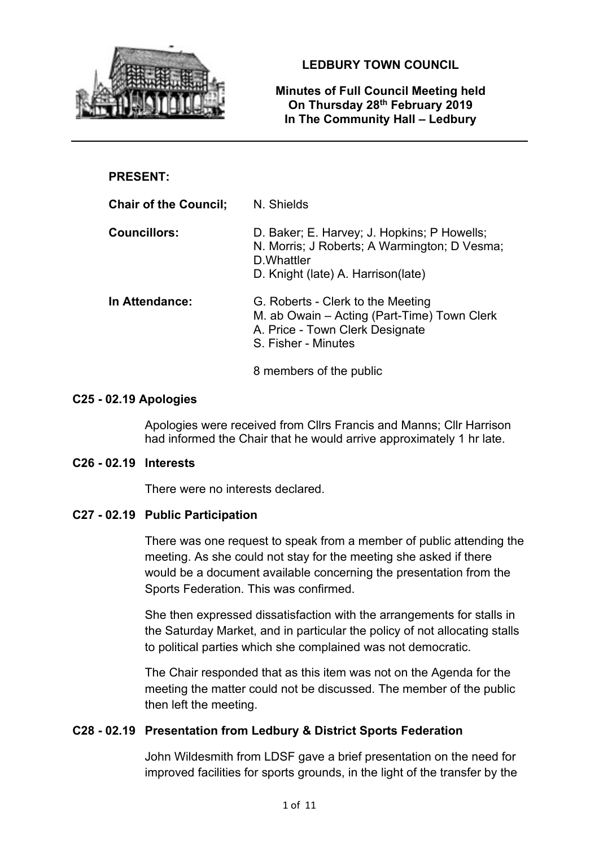

**LEDBURY TOWN COUNCIL**

### **Minutes of Full Council Meeting held On Thursday 28th February 2019 In The Community Hall – Ledbury**

# **PRESENT:**

| <b>Chair of the Council;</b> | N. Shields                                                                                                                                       |
|------------------------------|--------------------------------------------------------------------------------------------------------------------------------------------------|
| <b>Councillors:</b>          | D. Baker; E. Harvey; J. Hopkins; P Howells;<br>N. Morris; J Roberts; A Warmington; D Vesma;<br>D. Whattler<br>D. Knight (late) A. Harrison(late) |
| In Attendance:               | G. Roberts - Clerk to the Meeting<br>M. ab Owain – Acting (Part-Time) Town Clerk<br>A. Price - Town Clerk Designate<br>S. Fisher - Minutes       |
|                              | 8 members of the public                                                                                                                          |

### **C25 - 02.19 Apologies**

Apologies were received from Cllrs Francis and Manns; Cllr Harrison had informed the Chair that he would arrive approximately 1 hr late.

#### **C26 - 02.19 Interests**

There were no interests declared.

### **C27 - 02.19 Public Participation**

There was one request to speak from a member of public attending the meeting. As she could not stay for the meeting she asked if there would be a document available concerning the presentation from the Sports Federation. This was confirmed.

She then expressed dissatisfaction with the arrangements for stalls in the Saturday Market, and in particular the policy of not allocating stalls to political parties which she complained was not democratic.

The Chair responded that as this item was not on the Agenda for the meeting the matter could not be discussed. The member of the public then left the meeting.

### **C28 - 02.19 Presentation from Ledbury & District Sports Federation**

John Wildesmith from LDSF gave a brief presentation on the need for improved facilities for sports grounds, in the light of the transfer by the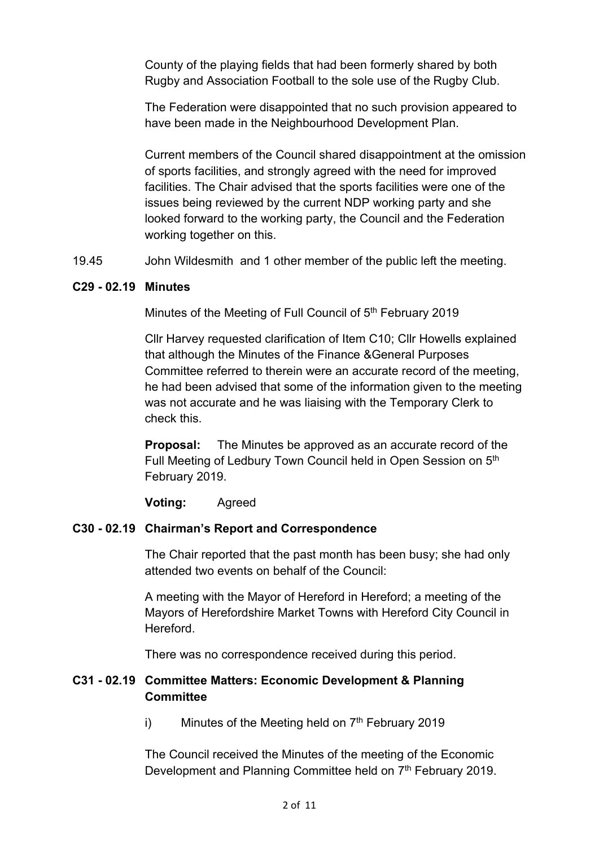County of the playing fields that had been formerly shared by both Rugby and Association Football to the sole use of the Rugby Club.

The Federation were disappointed that no such provision appeared to have been made in the Neighbourhood Development Plan.

Current members of the Council shared disappointment at the omission of sports facilities, and strongly agreed with the need for improved facilities. The Chair advised that the sports facilities were one of the issues being reviewed by the current NDP working party and she looked forward to the working party, the Council and the Federation working together on this.

19.45 John Wildesmith and 1 other member of the public left the meeting.

### **C29 - 02.19 Minutes**

Minutes of the Meeting of Full Council of 5<sup>th</sup> February 2019

Cllr Harvey requested clarification of Item C10; Cllr Howells explained that although the Minutes of the Finance &General Purposes Committee referred to therein were an accurate record of the meeting, he had been advised that some of the information given to the meeting was not accurate and he was liaising with the Temporary Clerk to check this.

**Proposal:** The Minutes be approved as an accurate record of the Full Meeting of Ledbury Town Council held in Open Session on 5th February 2019.

**Voting:** Agreed

# **C30 - 02.19 Chairman's Report and Correspondence**

The Chair reported that the past month has been busy; she had only attended two events on behalf of the Council:

A meeting with the Mayor of Hereford in Hereford; a meeting of the Mayors of Herefordshire Market Towns with Hereford City Council in **Hereford** 

There was no correspondence received during this period.

# **C31 - 02.19 Committee Matters: Economic Development & Planning Committee**

i) Minutes of the Meeting held on  $7<sup>th</sup>$  February 2019

The Council received the Minutes of the meeting of the Economic Development and Planning Committee held on 7<sup>th</sup> February 2019.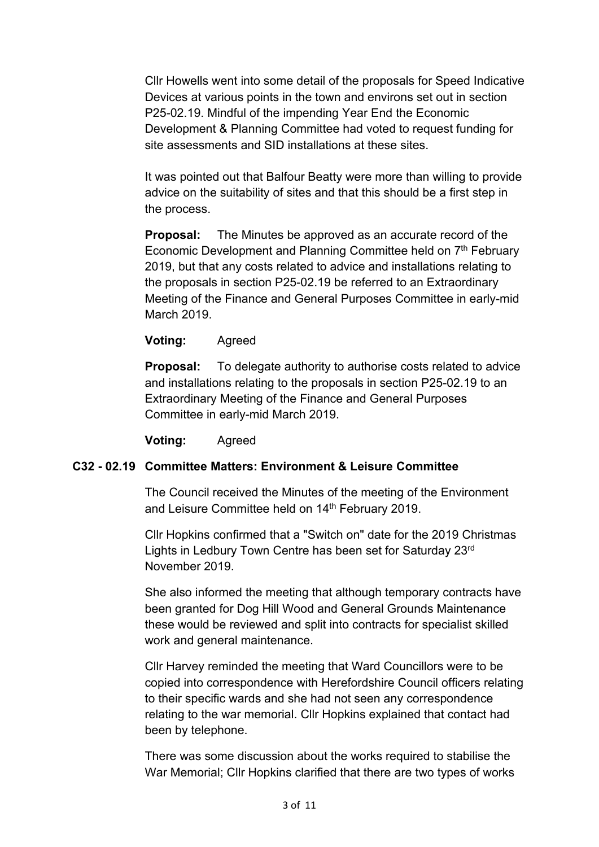Cllr Howells went into some detail of the proposals for Speed Indicative Devices at various points in the town and environs set out in section P25-02.19. Mindful of the impending Year End the Economic Development & Planning Committee had voted to request funding for site assessments and SID installations at these sites.

It was pointed out that Balfour Beatty were more than willing to provide advice on the suitability of sites and that this should be a first step in the process.

**Proposal:** The Minutes be approved as an accurate record of the Economic Development and Planning Committee held on 7<sup>th</sup> February 2019, but that any costs related to advice and installations relating to the proposals in section P25-02.19 be referred to an Extraordinary Meeting of the Finance and General Purposes Committee in early-mid March 2019.

**Voting:** Agreed

**Proposal:** To delegate authority to authorise costs related to advice and installations relating to the proposals in section P25-02.19 to an Extraordinary Meeting of the Finance and General Purposes Committee in early-mid March 2019.

**Voting:** Agreed

### **C32 - 02.19 Committee Matters: Environment & Leisure Committee**

The Council received the Minutes of the meeting of the Environment and Leisure Committee held on 14<sup>th</sup> February 2019.

Cllr Hopkins confirmed that a "Switch on" date for the 2019 Christmas Lights in Ledbury Town Centre has been set for Saturday 23rd November 2019.

She also informed the meeting that although temporary contracts have been granted for Dog Hill Wood and General Grounds Maintenance these would be reviewed and split into contracts for specialist skilled work and general maintenance.

Cllr Harvey reminded the meeting that Ward Councillors were to be copied into correspondence with Herefordshire Council officers relating to their specific wards and she had not seen any correspondence relating to the war memorial. Cllr Hopkins explained that contact had been by telephone.

There was some discussion about the works required to stabilise the War Memorial; Cllr Hopkins clarified that there are two types of works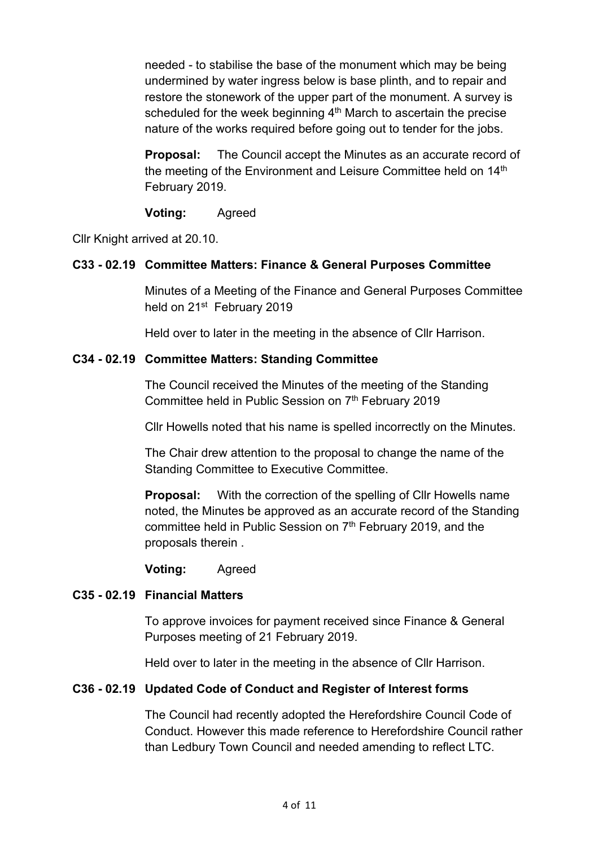needed - to stabilise the base of the monument which may be being undermined by water ingress below is base plinth, and to repair and restore the stonework of the upper part of the monument. A survey is scheduled for the week beginning  $4<sup>th</sup>$  March to ascertain the precise nature of the works required before going out to tender for the jobs.

**Proposal:** The Council accept the Minutes as an accurate record of the meeting of the Environment and Leisure Committee held on 14<sup>th</sup> February 2019.

### **Voting:** Agreed

Cllr Knight arrived at 20.10.

# **C33 - 02.19 Committee Matters: Finance & General Purposes Committee**

Minutes of a Meeting of the Finance and General Purposes Committee held on 21<sup>st</sup> February 2019

Held over to later in the meeting in the absence of Cllr Harrison.

# **C34 - 02.19 Committee Matters: Standing Committee**

The Council received the Minutes of the meeting of the Standing Committee held in Public Session on 7<sup>th</sup> February 2019

Cllr Howells noted that his name is spelled incorrectly on the Minutes.

The Chair drew attention to the proposal to change the name of the Standing Committee to Executive Committee.

**Proposal:** With the correction of the spelling of Cllr Howells name noted, the Minutes be approved as an accurate record of the Standing committee held in Public Session on  $7<sup>th</sup>$  February 2019, and the proposals therein .

**Voting:** Agreed

### **C35 - 02.19 Financial Matters**

To approve invoices for payment received since Finance & General Purposes meeting of 21 February 2019.

Held over to later in the meeting in the absence of Cllr Harrison.

### **C36 - 02.19 Updated Code of Conduct and Register of Interest forms**

The Council had recently adopted the Herefordshire Council Code of Conduct. However this made reference to Herefordshire Council rather than Ledbury Town Council and needed amending to reflect LTC.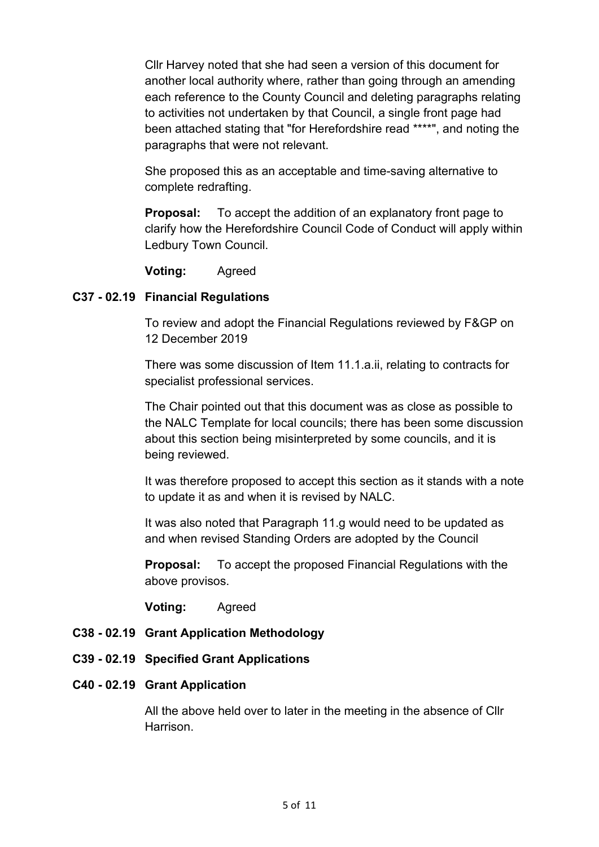Cllr Harvey noted that she had seen a version of this document for another local authority where, rather than going through an amending each reference to the County Council and deleting paragraphs relating to activities not undertaken by that Council, a single front page had been attached stating that "for Herefordshire read \*\*\*\*", and noting the paragraphs that were not relevant.

She proposed this as an acceptable and time-saving alternative to complete redrafting.

**Proposal:** To accept the addition of an explanatory front page to clarify how the Herefordshire Council Code of Conduct will apply within Ledbury Town Council.

**Voting:** Agreed

### **C37 - 02.19 Financial Regulations**

To review and adopt the Financial Regulations reviewed by F&GP on 12 December 2019

There was some discussion of Item 11.1.a.ii, relating to contracts for specialist professional services.

The Chair pointed out that this document was as close as possible to the NALC Template for local councils; there has been some discussion about this section being misinterpreted by some councils, and it is being reviewed.

It was therefore proposed to accept this section as it stands with a note to update it as and when it is revised by NALC.

It was also noted that Paragraph 11.g would need to be updated as and when revised Standing Orders are adopted by the Council

**Proposal:** To accept the proposed Financial Regulations with the above provisos.

**Voting:** Agreed

- **C38 - 02.19 Grant Application Methodology**
- **C39 - 02.19 Specified Grant Applications**

#### **C40 - 02.19 Grant Application**

All the above held over to later in the meeting in the absence of Cllr Harrison.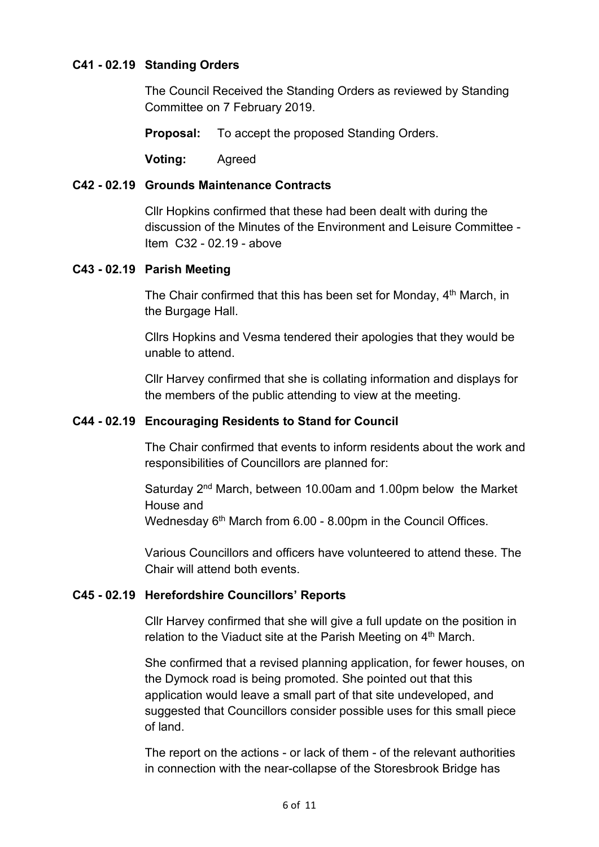### **C41 - 02.19 Standing Orders**

The Council Received the Standing Orders as reviewed by Standing Committee on 7 February 2019.

**Proposal:** To accept the proposed Standing Orders.

**Voting:** Agreed

#### **C42 - 02.19 Grounds Maintenance Contracts**

Cllr Hopkins confirmed that these had been dealt with during the discussion of the Minutes of the Environment and Leisure Committee - Item C32 - 02.19 - above

#### **C43 - 02.19 Parish Meeting**

The Chair confirmed that this has been set for Monday, 4<sup>th</sup> March, in the Burgage Hall.

Cllrs Hopkins and Vesma tendered their apologies that they would be unable to attend.

Cllr Harvey confirmed that she is collating information and displays for the members of the public attending to view at the meeting.

### **C44 - 02.19 Encouraging Residents to Stand for Council**

The Chair confirmed that events to inform residents about the work and responsibilities of Councillors are planned for:

Saturday 2<sup>nd</sup> March, between 10.00am and 1.00pm below the Market House and Wednesday 6<sup>th</sup> March from 6.00 - 8.00pm in the Council Offices.

Various Councillors and officers have volunteered to attend these. The Chair will attend both events.

### **C45 - 02.19 Herefordshire Councillors' Reports**

Cllr Harvey confirmed that she will give a full update on the position in relation to the Viaduct site at the Parish Meeting on 4<sup>th</sup> March.

She confirmed that a revised planning application, for fewer houses, on the Dymock road is being promoted. She pointed out that this application would leave a small part of that site undeveloped, and suggested that Councillors consider possible uses for this small piece of land.

The report on the actions - or lack of them - of the relevant authorities in connection with the near-collapse of the Storesbrook Bridge has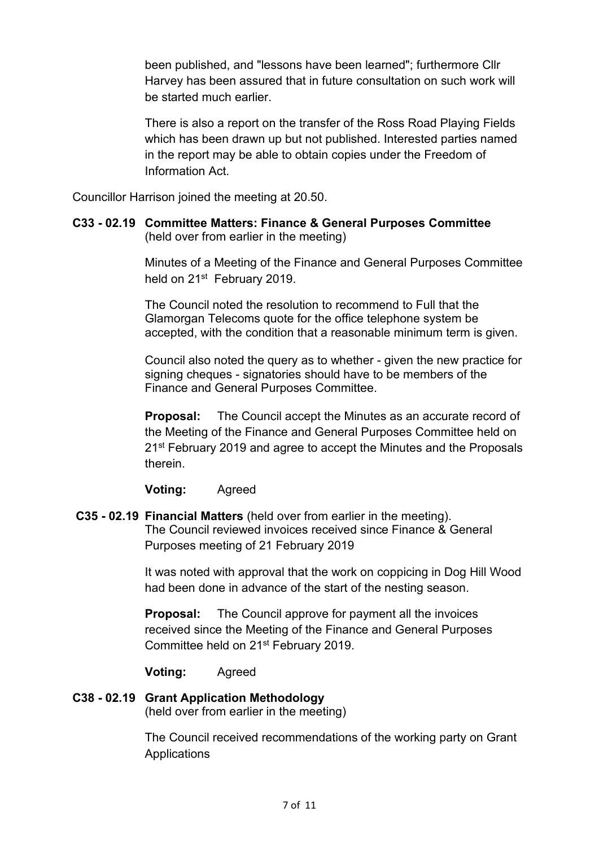been published, and "lessons have been learned"; furthermore Cllr Harvey has been assured that in future consultation on such work will be started much earlier.

There is also a report on the transfer of the Ross Road Playing Fields which has been drawn up but not published. Interested parties named in the report may be able to obtain copies under the Freedom of Information Act.

Councillor Harrison joined the meeting at 20.50.

### **C33 - 02.19 Committee Matters: Finance & General Purposes Committee** (held over from earlier in the meeting)

Minutes of a Meeting of the Finance and General Purposes Committee held on 21<sup>st</sup> February 2019.

The Council noted the resolution to recommend to Full that the Glamorgan Telecoms quote for the office telephone system be accepted, with the condition that a reasonable minimum term is given.

Council also noted the query as to whether - given the new practice for signing cheques - signatories should have to be members of the Finance and General Purposes Committee.

**Proposal:** The Council accept the Minutes as an accurate record of the Meeting of the Finance and General Purposes Committee held on 21<sup>st</sup> February 2019 and agree to accept the Minutes and the Proposals therein.

**Voting:** Agreed

### **C35 - 02.19 Financial Matters** (held over from earlier in the meeting). The Council reviewed invoices received since Finance & General Purposes meeting of 21 February 2019

It was noted with approval that the work on coppicing in Dog Hill Wood had been done in advance of the start of the nesting season.

**Proposal:** The Council approve for payment all the invoices received since the Meeting of the Finance and General Purposes Committee held on 21st February 2019.

**Voting:** Agreed

# **C38 - 02.19 Grant Application Methodology**

(held over from earlier in the meeting)

The Council received recommendations of the working party on Grant **Applications**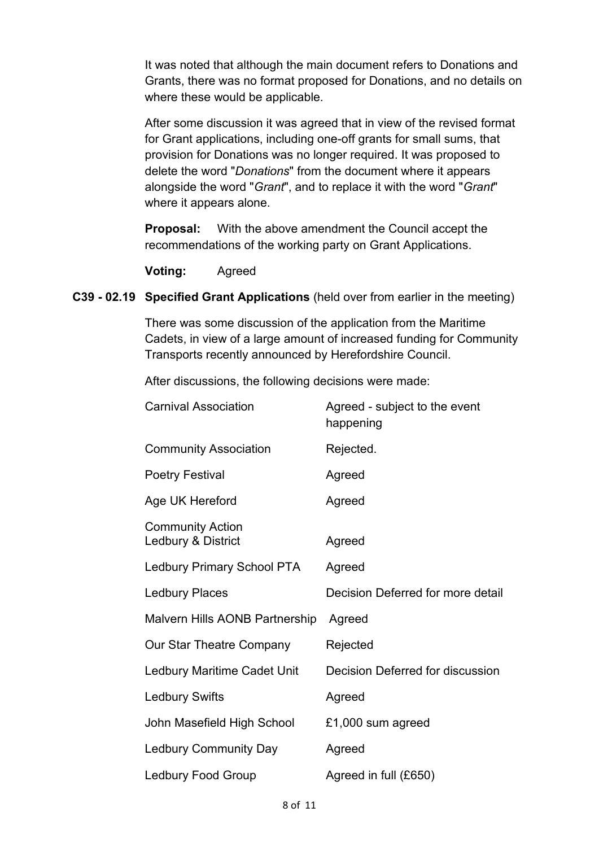It was noted that although the main document refers to Donations and Grants, there was no format proposed for Donations, and no details on where these would be applicable.

After some discussion it was agreed that in view of the revised format for Grant applications, including one-off grants for small sums, that provision for Donations was no longer required. It was proposed to delete the word "*Donations*" from the document where it appears alongside the word "*Grant*", and to replace it with the word "*Grant*" where it appears alone.

**Proposal:** With the above amendment the Council accept the recommendations of the working party on Grant Applications.

**Voting:** Agreed

### **C39 - 02.19 Specified Grant Applications** (held over from earlier in the meeting)

There was some discussion of the application from the Maritime Cadets, in view of a large amount of increased funding for Community Transports recently announced by Herefordshire Council.

After discussions, the following decisions were made:

| <b>Carnival Association</b>                   | Agreed - subject to the event<br>happening |
|-----------------------------------------------|--------------------------------------------|
| <b>Community Association</b>                  | Rejected.                                  |
| <b>Poetry Festival</b>                        | Agreed                                     |
| Age UK Hereford                               | Agreed                                     |
| <b>Community Action</b><br>Ledbury & District | Agreed                                     |
| <b>Ledbury Primary School PTA</b>             | Agreed                                     |
| <b>Ledbury Places</b>                         | Decision Deferred for more detail          |
| Malvern Hills AONB Partnership                | Agreed                                     |
| Our Star Theatre Company                      | Rejected                                   |
| Ledbury Maritime Cadet Unit                   | Decision Deferred for discussion           |
| <b>Ledbury Swifts</b>                         | Agreed                                     |
| John Masefield High School                    | £1,000 sum agreed                          |
| <b>Ledbury Community Day</b>                  | Agreed                                     |
| <b>Ledbury Food Group</b>                     | Agreed in full (£650)                      |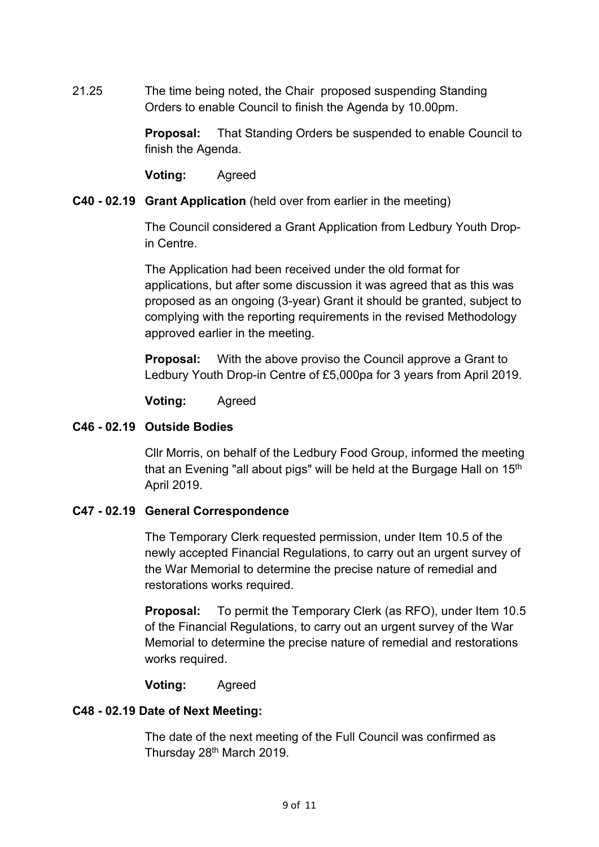21.25 The time being noted, the Chair proposed suspending Standing Orders to enable Council to finish the Agenda by 10.00pm.

> **Proposal:** That Standing Orders be suspended to enable Council to finish the Agenda.

**Voting:** Agreed

### **C40 - 02.19 Grant Application** (held over from earlier in the meeting)

The Council considered a Grant Application from Ledbury Youth Dropin Centre.

The Application had been received under the old format for applications, but after some discussion it was agreed that as this was proposed as an ongoing (3-year) Grant it should be granted, subject to complying with the reporting requirements in the revised Methodology approved earlier in the meeting.

**Proposal:** With the above proviso the Council approve a Grant to Ledbury Youth Drop-in Centre of £5,000pa for 3 years from April 2019.

**Voting:** Agreed

### **C46 - 02.19 Outside Bodies**

Cllr Morris, on behalf of the Ledbury Food Group, informed the meeting that an Evening "all about pigs" will be held at the Burgage Hall on 15<sup>th</sup> April 2019.

### **C47 - 02.19 General Correspondence**

The Temporary Clerk requested permission, under Item 10.5 of the newly accepted Financial Regulations, to carry out an urgent survey of the War Memorial to determine the precise nature of remedial and restorations works required.

**Proposal:** To permit the Temporary Clerk (as RFO), under Item 10.5 of the Financial Regulations, to carry out an urgent survey of the War Memorial to determine the precise nature of remedial and restorations works required.

**Voting:** Agreed

### **C48 - 02.19 Date of Next Meeting:**

The date of the next meeting of the Full Council was confirmed as Thursday 28<sup>th</sup> March 2019.